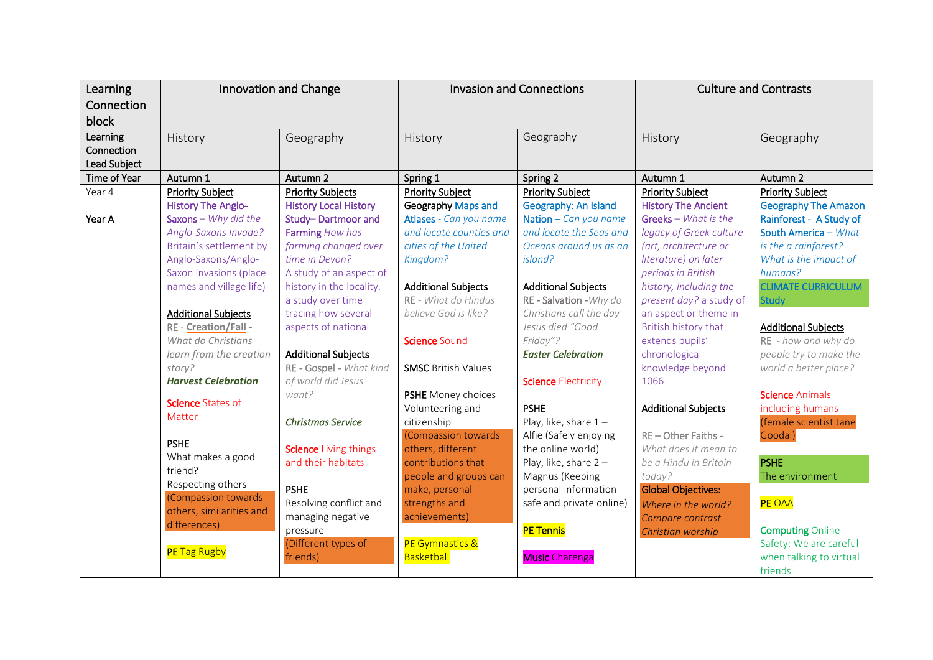| Learning<br>Connection<br>block        | <b>Innovation and Change</b>                                              |                                                                       | <b>Invasion and Connections</b>                                         |                                                                            | <b>Culture and Contrasts</b>                                                  |                                                                                         |
|----------------------------------------|---------------------------------------------------------------------------|-----------------------------------------------------------------------|-------------------------------------------------------------------------|----------------------------------------------------------------------------|-------------------------------------------------------------------------------|-----------------------------------------------------------------------------------------|
| Learning<br>Connection<br>Lead Subject | History                                                                   | Geography                                                             | History                                                                 | Geography                                                                  | History                                                                       | Geography                                                                               |
| Time of Year                           | Autumn 1                                                                  | Autumn 2                                                              | Spring 1                                                                | Spring 2                                                                   | Autumn 1                                                                      | Autumn 2                                                                                |
| Year 4                                 | <b>Priority Subject</b>                                                   | <b>Priority Subjects</b>                                              | <b>Priority Subject</b>                                                 | <b>Priority Subject</b>                                                    | <b>Priority Subject</b>                                                       | <b>Priority Subject</b>                                                                 |
| Year A                                 | <b>History The Anglo-</b><br>Saxons - Why did the<br>Anglo-Saxons Invade? | <b>History Local History</b><br>Study-Dartmoor and<br>Farming How has | Geography Maps and<br>Atlases - Can you name<br>and locate counties and | Geography: An Island<br>Nation $-$ Can you name<br>and locate the Seas and | <b>History The Ancient</b><br>Greeks - What is the<br>legacy of Greek culture | <b>Geography The Amazon</b><br>Rainforest - A Study of<br>South America - What          |
|                                        | Britain's settlement by<br>Anglo-Saxons/Anglo-<br>Saxon invasions (place  | farming changed over<br>time in Devon?<br>A study of an aspect of     | cities of the United<br>Kingdom?                                        | Oceans around us as an<br>island?                                          | (art, architecture or<br>literature) on later<br>periods in British           | is the a rainforest?<br>What is the impact of<br>humans?                                |
|                                        | names and village life)                                                   | history in the locality.<br>a study over time                         | <b>Additional Subjects</b><br>RE - What do Hindus                       | <b>Additional Subjects</b><br>RE - Salvation - Why do                      | history, including the<br>present day? a study of                             | <b>CLIMATE CURRICULUM</b><br><b>Study</b>                                               |
|                                        | <b>Additional Subjects</b><br>RE - Creation/Fall -                        | tracing how several<br>aspects of national                            | believe God is like?                                                    | Christians call the day<br>Jesus died "Good                                | an aspect or theme in<br>British history that                                 | <b>Additional Subjects</b>                                                              |
|                                        | What do Christians<br>learn from the creation<br>story?                   | <b>Additional Subjects</b><br>RE - Gospel - What kind                 | Science Sound<br><b>SMSC British Values</b>                             | Friday"?<br><b>Easter Celebration</b>                                      | extends pupils'<br>chronological<br>knowledge beyond                          | RE - how and why do<br>people try to make the<br>world a better place?                  |
|                                        | <b>Harvest Celebration</b>                                                | of world did Jesus                                                    |                                                                         | <b>Science Electricity</b>                                                 | 1066                                                                          |                                                                                         |
|                                        | Science States of<br>Matter                                               | want?                                                                 | PSHE Money choices<br>Volunteering and                                  | <b>PSHE</b>                                                                | <b>Additional Subjects</b>                                                    | <b>Science Animals</b><br>including humans                                              |
|                                        | <b>PSHE</b>                                                               | <b>Christmas Service</b><br><b>Science Living things</b>              | citizenship<br>(Compassion towards<br>others, different                 | Play, like, share $1-$<br>Alfie (Safely enjoying<br>the online world)      | RE-Other Faiths -<br>What does it mean to                                     | (female scientist Jane<br>Goodal)                                                       |
|                                        | What makes a good<br>friend?<br>Respecting others                         | and their habitats                                                    | contributions that<br>people and groups can                             | Play, like, share $2 -$<br>Magnus (Keeping                                 | be a Hindu in Britain<br>today?                                               | <b>PSHE</b><br>The environment                                                          |
|                                        | (Compassion towards<br>others, similarities and<br>differences)           | <b>PSHE</b><br>Resolving conflict and<br>managing negative            | make, personal<br>strengths and<br>achievements)                        | personal information<br>safe and private online)                           | <b>Global Objectives:</b><br>Where in the world?<br>Compare contrast          | <b>PE OAA</b>                                                                           |
|                                        | <b>PE</b> Tag Rugby                                                       | pressure<br>(Different types of<br>friends)                           | PE Gymnastics &<br>Basketball                                           | <b>PE Tennis</b><br><b>Music Charenga</b>                                  | Christian worship                                                             | <b>Computing Online</b><br>Safety: We are careful<br>when talking to virtual<br>friends |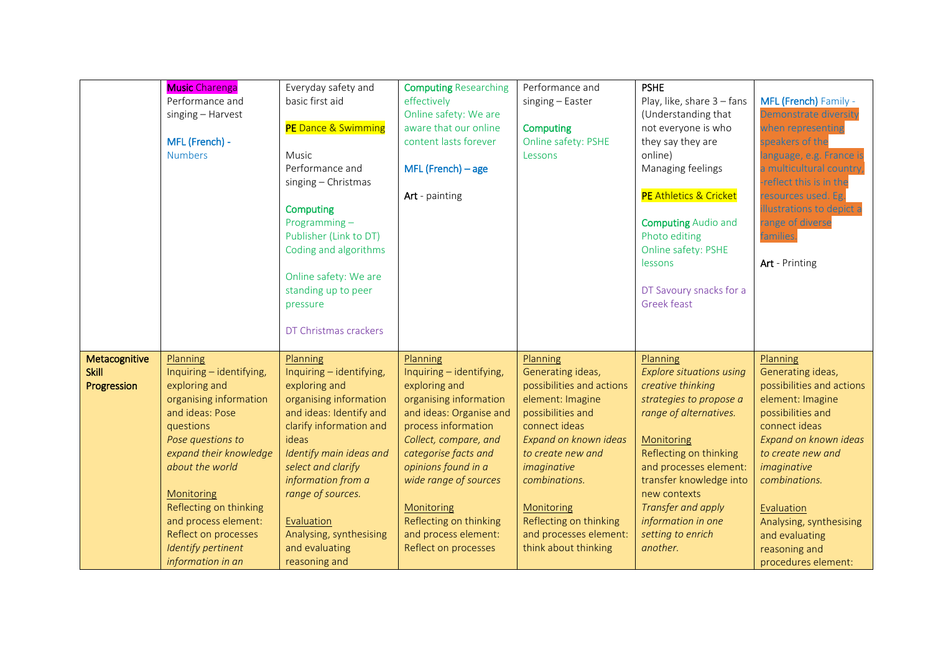|                                              | <b>Music Charenga</b><br>Performance and<br>singing - Harvest<br>MFL (French) -<br><b>Numbers</b>                                                                                                                                                                                                                    | Everyday safety and<br>basic first aid<br>PE Dance & Swimming<br>Music<br>Performance and<br>singing - Christmas<br><b>Computing</b><br>Programming-<br>Publisher (Link to DT)<br>Coding and algorithms<br>Online safety: We are<br>standing up to peer<br>pressure<br>DT Christmas crackers                           | <b>Computing Researching</b><br>effectively<br>Online safety: We are<br>aware that our online<br>content lasts forever<br>$MFL$ (French) – age<br>Art - painting                                                                                                                                                           | Performance and<br>singing - Easter<br><b>Computing</b><br>Online safety: PSHE<br>Lessons                                                                                                                                                                                                    | <b>PSHE</b><br>Play, like, share 3 - fans<br>(Understanding that<br>not everyone is who<br>they say they are<br>online)<br>Managing feelings<br>PE Athletics & Cricket<br><b>Computing Audio and</b><br>Photo editing<br>Online safety: PSHE<br>lessons<br>DT Savoury snacks for a<br><b>Greek feast</b>        | MFL (French) Family -<br><b>Demonstrate diversity</b><br>when representing<br>speakers of the<br>language, e.g. France is<br>a multicultural country,<br>-reflect this is in the<br>resources used. Eg.<br>illustrations to depict a<br>range of diverse<br>families.<br>Art - Printing               |
|----------------------------------------------|----------------------------------------------------------------------------------------------------------------------------------------------------------------------------------------------------------------------------------------------------------------------------------------------------------------------|------------------------------------------------------------------------------------------------------------------------------------------------------------------------------------------------------------------------------------------------------------------------------------------------------------------------|----------------------------------------------------------------------------------------------------------------------------------------------------------------------------------------------------------------------------------------------------------------------------------------------------------------------------|----------------------------------------------------------------------------------------------------------------------------------------------------------------------------------------------------------------------------------------------------------------------------------------------|-----------------------------------------------------------------------------------------------------------------------------------------------------------------------------------------------------------------------------------------------------------------------------------------------------------------|-------------------------------------------------------------------------------------------------------------------------------------------------------------------------------------------------------------------------------------------------------------------------------------------------------|
| Metacognitive<br><b>Skill</b><br>Progression | Planning<br>Inquiring - identifying,<br>exploring and<br>organising information<br>and ideas: Pose<br>questions<br>Pose questions to<br>expand their knowledge<br>about the world<br>Monitoring<br>Reflecting on thinking<br>and process element:<br>Reflect on processes<br>Identify pertinent<br>information in an | Planning<br>Inquiring - identifying,<br>exploring and<br>organising information<br>and ideas: Identify and<br>clarify information and<br>ideas<br>Identify main ideas and<br>select and clarify<br>information from a<br>range of sources.<br>Evaluation<br>Analysing, synthesising<br>and evaluating<br>reasoning and | Planning<br>Inquiring - identifying,<br>exploring and<br>organising information<br>and ideas: Organise and<br>process information<br>Collect, compare, and<br>categorise facts and<br>opinions found in a<br>wide range of sources<br>Monitoring<br>Reflecting on thinking<br>and process element:<br>Reflect on processes | Planning<br>Generating ideas,<br>possibilities and actions<br>element: Imagine<br>possibilities and<br>connect ideas<br>Expand on known ideas<br>to create new and<br>imaginative<br>combinations.<br>Monitoring<br>Reflecting on thinking<br>and processes element:<br>think about thinking | Planning<br><b>Explore situations using</b><br>creative thinking<br>strategies to propose a<br>range of alternatives.<br>Monitoring<br>Reflecting on thinking<br>and processes element:<br>transfer knowledge into<br>new contexts<br>Transfer and apply<br>information in one<br>setting to enrich<br>another. | Planning<br>Generating ideas,<br>possibilities and actions<br>element: Imagine<br>possibilities and<br>connect ideas<br>Expand on known ideas<br>to create new and<br>imaginative<br>combinations.<br>Evaluation<br>Analysing, synthesising<br>and evaluating<br>reasoning and<br>procedures element: |